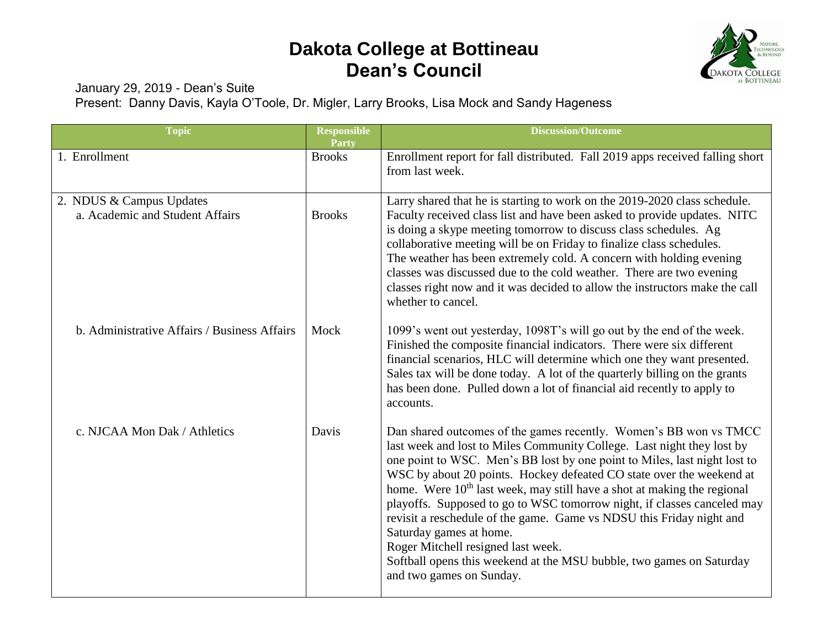## **Dakota College at Bottineau Dean's Council**



January 29, 2019 - Dean's Suite

Present: Danny Davis, Kayla O'Toole, Dr. Migler, Larry Brooks, Lisa Mock and Sandy Hageness

| <b>Topic</b>                                                | <b>Responsible</b><br><b>Party</b> | <b>Discussion/Outcome</b>                                                                                                                                                                                                                                                                                                                                                                                                                                                                                                                                                                                                                                                                                       |
|-------------------------------------------------------------|------------------------------------|-----------------------------------------------------------------------------------------------------------------------------------------------------------------------------------------------------------------------------------------------------------------------------------------------------------------------------------------------------------------------------------------------------------------------------------------------------------------------------------------------------------------------------------------------------------------------------------------------------------------------------------------------------------------------------------------------------------------|
| 1. Enrollment                                               | <b>Brooks</b>                      | Enrollment report for fall distributed. Fall 2019 apps received falling short<br>from last week.                                                                                                                                                                                                                                                                                                                                                                                                                                                                                                                                                                                                                |
| 2. NDUS & Campus Updates<br>a. Academic and Student Affairs | <b>Brooks</b>                      | Larry shared that he is starting to work on the 2019-2020 class schedule.<br>Faculty received class list and have been asked to provide updates. NITC<br>is doing a skype meeting tomorrow to discuss class schedules. Ag<br>collaborative meeting will be on Friday to finalize class schedules.<br>The weather has been extremely cold. A concern with holding evening<br>classes was discussed due to the cold weather. There are two evening<br>classes right now and it was decided to allow the instructors make the call<br>whether to cancel.                                                                                                                                                           |
| b. Administrative Affairs / Business Affairs                | Mock                               | 1099's went out yesterday, 1098T's will go out by the end of the week.<br>Finished the composite financial indicators. There were six different<br>financial scenarios, HLC will determine which one they want presented.<br>Sales tax will be done today. A lot of the quarterly billing on the grants<br>has been done. Pulled down a lot of financial aid recently to apply to<br>accounts.                                                                                                                                                                                                                                                                                                                  |
| c. NJCAA Mon Dak / Athletics                                | Davis                              | Dan shared outcomes of the games recently. Women's BB won vs TMCC<br>last week and lost to Miles Community College. Last night they lost by<br>one point to WSC. Men's BB lost by one point to Miles, last night lost to<br>WSC by about 20 points. Hockey defeated CO state over the weekend at<br>home. Were 10 <sup>th</sup> last week, may still have a shot at making the regional<br>playoffs. Supposed to go to WSC tomorrow night, if classes canceled may<br>revisit a reschedule of the game. Game vs NDSU this Friday night and<br>Saturday games at home.<br>Roger Mitchell resigned last week.<br>Softball opens this weekend at the MSU bubble, two games on Saturday<br>and two games on Sunday. |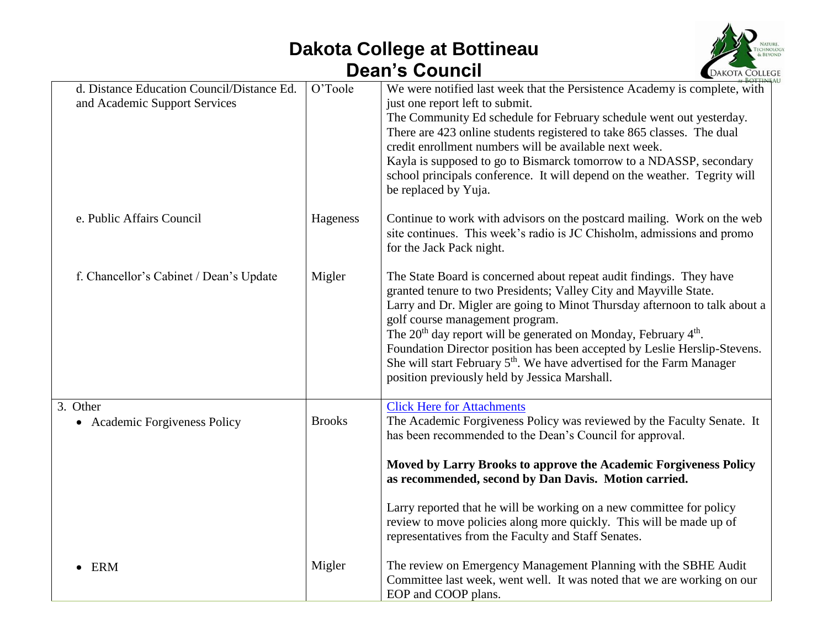## **Dakota College at Bottineau Dean's Council**



| d. Distance Education Council/Distance Ed.<br>and Academic Support Services | O'Toole       | We were notified last week that the Persistence Academy is complete, with<br>just one report left to submit.<br>The Community Ed schedule for February schedule went out yesterday.<br>There are 423 online students registered to take 865 classes. The dual<br>credit enrollment numbers will be available next week.<br>Kayla is supposed to go to Bismarck tomorrow to a NDASSP, secondary<br>school principals conference. It will depend on the weather. Tegrity will<br>be replaced by Yuja.                                                                     |
|-----------------------------------------------------------------------------|---------------|-------------------------------------------------------------------------------------------------------------------------------------------------------------------------------------------------------------------------------------------------------------------------------------------------------------------------------------------------------------------------------------------------------------------------------------------------------------------------------------------------------------------------------------------------------------------------|
| e. Public Affairs Council                                                   | Hageness      | Continue to work with advisors on the postcard mailing. Work on the web<br>site continues. This week's radio is JC Chisholm, admissions and promo<br>for the Jack Pack night.                                                                                                                                                                                                                                                                                                                                                                                           |
| f. Chancellor's Cabinet / Dean's Update                                     | Migler        | The State Board is concerned about repeat audit findings. They have<br>granted tenure to two Presidents; Valley City and Mayville State.<br>Larry and Dr. Migler are going to Minot Thursday afternoon to talk about a<br>golf course management program.<br>The 20 <sup>th</sup> day report will be generated on Monday, February 4 <sup>th</sup> .<br>Foundation Director position has been accepted by Leslie Herslip-Stevens.<br>She will start February 5 <sup>th</sup> . We have advertised for the Farm Manager<br>position previously held by Jessica Marshall. |
| 3. Other<br>• Academic Forgiveness Policy                                   | <b>Brooks</b> | <b>Click Here for Attachments</b><br>The Academic Forgiveness Policy was reviewed by the Faculty Senate. It<br>has been recommended to the Dean's Council for approval.<br>Moved by Larry Brooks to approve the Academic Forgiveness Policy<br>as recommended, second by Dan Davis. Motion carried.                                                                                                                                                                                                                                                                     |
|                                                                             |               | Larry reported that he will be working on a new committee for policy<br>review to move policies along more quickly. This will be made up of<br>representatives from the Faculty and Staff Senates.                                                                                                                                                                                                                                                                                                                                                                      |
| <b>ERM</b>                                                                  | Migler        | The review on Emergency Management Planning with the SBHE Audit<br>Committee last week, went well. It was noted that we are working on our<br>EOP and COOP plans.                                                                                                                                                                                                                                                                                                                                                                                                       |